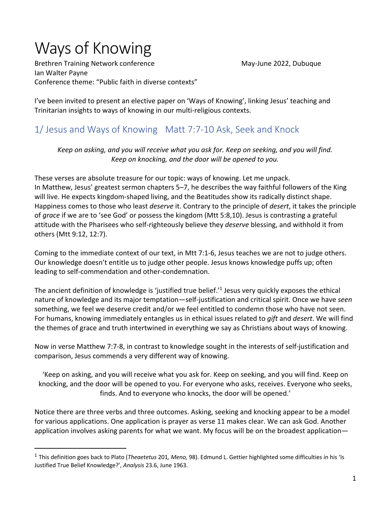# Ways of Knowing

Brethren Training Network conference May-June 2022, Dubuque Ian Walter Payne Conference theme: "Public faith in diverse contexts"

I've been invited to present an elective paper on 'Ways of Knowing', linking Jesus' teaching and Trinitarian insights to ways of knowing in our multi-religious contexts.

# 1/ Jesus and Ways of Knowing Matt 7:7-10 Ask, Seek and Knock

*Keep on asking, and you will receive what you ask for. Keep on seeking, and you will find. Keep on knocking, and the door will be opened to you.*

These verses are absolute treasure for our topic: ways of knowing. Let me unpack. In Matthew, Jesus' greatest sermon chapters 5–7, he describes the way faithful followers of the King will live. He expects kingdom-shaped living, and the Beatitudes show its radically distinct shape. Happiness comes to those who least *deserve* it. Contrary to the principle of *desert*, it takes the principle of *grace* if we are to 'see God' or possess the kingdom (Mtt 5:8,10). Jesus is contrasting a grateful attitude with the Pharisees who self-righteously believe they *deserve* blessing, and withhold it from others (Mtt 9:12, 12:7).

Coming to the immediate context of our text, in Mtt 7:1-6, Jesus teaches we are not to judge others. Our knowledge doesn't entitle us to judge other people. Jesus knows knowledge puffs up; often leading to self-commendation and other-condemnation.

The ancient definition of knowledge is 'justified true belief.'1 Jesus very quickly exposes the ethical nature of knowledge and its major temptation—self-justification and critical spirit. Once we have *seen* something, we feel we deserve credit and/or we feel entitled to condemn those who have not seen. For humans, knowing immediately entangles us in ethical issues related to *gift* and *desert*. We will find the themes of grace and truth intertwined in everything we say as Christians about ways of knowing.

Now in verse Matthew 7:7-8, in contrast to knowledge sought in the interests of self-justification and comparison, Jesus commends a very different way of knowing.

'Keep on asking, and you will receive what you ask for. Keep on seeking, and you will find. Keep on knocking, and the door will be opened to you. For everyone who asks, receives. Everyone who seeks, finds. And to everyone who knocks, the door will be opened.'

Notice there are three verbs and three outcomes. Asking, seeking and knocking appear to be a model for various applications. One application is prayer as verse 11 makes clear. We can ask God. Another application involves asking parents for what we want. My focus will be on the broadest application—

<sup>1</sup> This definition goes back to Plato (*Theaetetus* 201*, Meno,* 98). Edmund L. Gettier highlighted some difficulties in his 'Is Justified True Belief Knowledge?', *Analysis* 23.6, June 1963.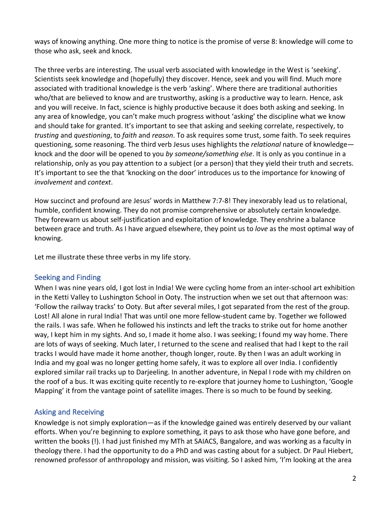ways of knowing anything. One more thing to notice is the promise of verse 8: knowledge will come to those who ask, seek and knock.

The three verbs are interesting. The usual verb associated with knowledge in the West is 'seeking'. Scientists seek knowledge and (hopefully) they discover. Hence, seek and you will find. Much more associated with traditional knowledge is the verb 'asking'. Where there are traditional authorities who/that are believed to know and are trustworthy, asking is a productive way to learn. Hence, ask and you will receive. In fact, science is highly productive because it does both asking and seeking. In any area of knowledge, you can't make much progress without 'asking' the discipline what we know and should take for granted. It's important to see that asking and seeking correlate, respectively, to *trusting* and *questioning*, to *faith* and *reason*. To ask requires some trust, some faith. To seek requires questioning, some reasoning. The third verb Jesus uses highlights the *relational* nature of knowledge knock and the door will be opened to you *by someone/something else*. It is only as you continue in a relationship, only as you pay attention to a subject (or a person) that they yield their truth and secrets. It's important to see the that 'knocking on the door' introduces us to the importance for knowing of *involvement* and *context*.

How succinct and profound are Jesus' words in Matthew 7:7-8! They inexorably lead us to relational, humble, confident knowing. They do not promise comprehensive or absolutely certain knowledge. They forewarn us about self-justification and exploitation of knowledge. They enshrine a balance between grace and truth. As I have argued elsewhere, they point us to *love* as the most optimal way of knowing.

Let me illustrate these three verbs in my life story.

#### Seeking and Finding

When I was nine years old, I got lost in India! We were cycling home from an inter-school art exhibition in the Ketti Valley to Lushington School in Ooty. The instruction when we set out that afternoon was: 'Follow the railway tracks' to Ooty. But after several miles, I got separated from the rest of the group. Lost! All alone in rural India! That was until one more fellow-student came by. Together we followed the rails. I was safe. When he followed his instincts and left the tracks to strike out for home another way, I kept him in my sights. And so, I made it home also. I was seeking; I found my way home. There are lots of ways of seeking. Much later, I returned to the scene and realised that had I kept to the rail tracks I would have made it home another, though longer, route. By then I was an adult working in India and my goal was no longer getting home safely, it was to explore all over India. I confidently explored similar rail tracks up to Darjeeling. In another adventure, in Nepal I rode with my children on the roof of a bus. It was exciting quite recently to re-explore that journey home to Lushington, 'Google Mapping' it from the vantage point of satellite images. There is so much to be found by seeking.

## Asking and Receiving

Knowledge is not simply exploration—as if the knowledge gained was entirely deserved by our valiant efforts. When you're beginning to explore something, it pays to ask those who have gone before, and written the books (!). I had just finished my MTh at SAIACS, Bangalore, and was working as a faculty in theology there. I had the opportunity to do a PhD and was casting about for a subject. Dr Paul Hiebert, renowned professor of anthropology and mission, was visiting. So I asked him, 'I'm looking at the area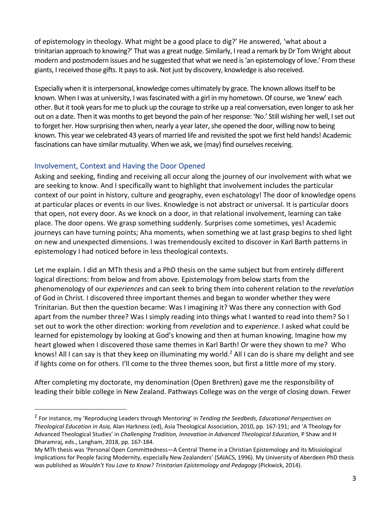of epistemology in theology. What might be a good place to dig?' He answered, 'what about a trinitarian approach to knowing?' That was a great nudge. Similarly, I read a remark by Dr Tom Wright about modern and postmodern issues and he suggested that what we need is 'an epistemology of love.' From these giants, I received those gifts. It pays to ask. Not just by discovery, knowledge is also received.

Especially when it is interpersonal, knowledge comes ultimately by grace. The known allows itself to be known. When I was at university, I was fascinated with a girl in my hometown. Of course, we 'knew' each other. But it took years for me to pluck up the courage to strike up a real conversation, even longer to ask her out on a date. Then it was months to get beyond the pain of her response: 'No.' Still wishing her well, I set out to forget her. How surprising then when, nearly a year later, she opened the door, willing now to being known. This year we celebrated 43 years of married life and revisited the spot we first held hands! Academic fascinations can have similar mutuality. When we ask, we (may) find ourselves receiving.

## Involvement, Context and Having the Door Opened

Asking and seeking, finding and receiving all occur along the journey of our involvement with what we are seeking to know. And I specifically want to highlight that involvement includes the particular context of our point in history, culture and geography, even eschatology! The door of knowledge opens at particular places or events in our lives. Knowledge is not abstract or universal. It is particular doors that open, not every door. As we knock on a door, in that relational involvement, learning can take place. The door opens. We grasp something suddenly. Surprises come sometimes, yes! Academic journeys can have turning points; Aha moments, when something we at last grasp begins to shed light on new and unexpected dimensions. I was tremendously excited to discover in Karl Barth patterns in epistemology I had noticed before in less theological contexts.

Let me explain. I did an MTh thesis and a PhD thesis on the same subject but from entirely different logical directions: from below and from above. Epistemology from below starts from the phenomenology of our *experiences* and can seek to bring them into coherent relation to the *revelation* of God in Christ. I discovered three important themes and began to wonder whether they were Trinitarian. But then the question became: Was I imagining it? Was there any connection with God apart from the number three? Was I simply reading into things what I wanted to read into them? So I set out to work the other direction: working from *revelation* and to *experience*. I asked what could be learned for epistemology by looking at God's knowing and then at human knowing. Imagine how my heart glowed when I discovered those same themes in Karl Barth! Or were they shown to me? Who knows! All I can say is that they keep on illuminating my world.<sup>2</sup> All I can do is share my delight and see if lights come on for others. I'll come to the three themes soon, but first a little more of my story.

After completing my doctorate, my denomination (Open Brethren) gave me the responsibility of leading their bible college in New Zealand. Pathways College was on the verge of closing down. Fewer

<sup>2</sup> For instance, my 'Reproducing Leaders through Mentoring' in *Tending the Seedbeds, Educational Perspectives on Theological Education in Asia,* Alan Harkness (ed), Asia Theological Association, 2010, pp. 167-191; and 'A Theology for Advanced Theological Studies' in *Challenging Tradition, Innovation in Advanced Theological Education,* P Shaw and H Dharamraj, eds., Langham, 2018, pp. 167-184.

My MTh thesis was 'Personal Open Committedness—A Central Theme in a Christian Epistemology and its Missiological Implications for People facing Modernity, especially New Zealanders' (SAIACS, 1996). My University of Aberdeen PhD thesis was published as *Wouldn't You Love to Know? Trinitarian Epistemology and Pedagogy* (Pickwick, 2014).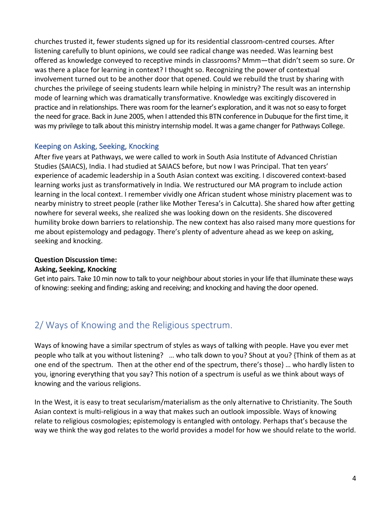churches trusted it, fewer students signed up for its residential classroom-centred courses. After listening carefully to blunt opinions, we could see radical change was needed. Was learning best offered as knowledge conveyed to receptive minds in classrooms? Mmm—that didn't seem so sure. Or was there a place for learning in context? I thought so. Recognizing the power of contextual involvement turned out to be another door that opened. Could we rebuild the trust by sharing with churches the privilege of seeing students learn while helping in ministry? The result was an internship mode of learning which was dramatically transformative. Knowledge was excitingly discovered in practice and in relationships. There was room for the learner's exploration, and it was not so easy to forget the need for grace. Back in June 2005, when I attended this BTN conference in Dubuque for the first time, it was my privilege to talk about this ministry internship model. It was a game changer for Pathways College.

#### Keeping on Asking, Seeking, Knocking

After five years at Pathways, we were called to work in South Asia Institute of Advanced Christian Studies (SAIACS), India. I had studied at SAIACS before, but now I was Principal. That ten years' experience of academic leadership in a South Asian context was exciting. I discovered context-based learning works just as transformatively in India. We restructured our MA program to include action learning in the local context. I remember vividly one African student whose ministry placement was to nearby ministry to street people (rather like Mother Teresa's in Calcutta). She shared how after getting nowhere for several weeks, she realized she was looking down on the residents. She discovered humility broke down barriers to relationship. The new context has also raised many more questions for me about epistemology and pedagogy. There's plenty of adventure ahead as we keep on asking, seeking and knocking.

#### **Question Discussion time:**

#### **Asking, Seeking, Knocking**

Get into pairs. Take 10 min now to talk to your neighbour about stories in your life that illuminate these ways of knowing: seeking and finding; asking and receiving; and knocking and having the door opened.

## 2/ Ways of Knowing and the Religious spectrum.

Ways of knowing have a similar spectrum of styles as ways of talking with people. Have you ever met people who talk at you without listening? … who talk down to you? Shout at you? {Think of them as at one end of the spectrum. Then at the other end of the spectrum, there's those} … who hardly listen to you, ignoring everything that you say? This notion of a spectrum is useful as we think about ways of knowing and the various religions.

In the West, it is easy to treat secularism/materialism as the only alternative to Christianity. The South Asian context is multi-religious in a way that makes such an outlook impossible. Ways of knowing relate to religious cosmologies; epistemology is entangled with ontology. Perhaps that's because the way we think the way god relates to the world provides a model for how we should relate to the world.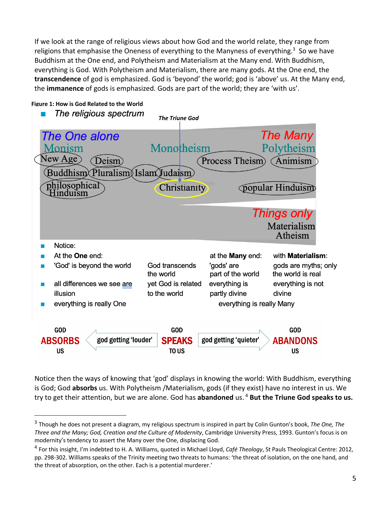If we look at the range of religious views about how God and the world relate, they range from religions that emphasise the Oneness of everything to the Manyness of everything.<sup>3</sup> So we have Buddhism at the One end, and Polytheism and Materialism at the Many end. With Buddhism, everything is God. With Polytheism and Materialism, there are many gods. At the One end, the **transcendence** of god is emphasized. God is 'beyond' the world; god is 'above' us. At the Many end, the **immanence** of gods is emphasized. Gods are part of the world; they are 'with us'.



Notice then the ways of knowing that 'god' displays in knowing the world: With Buddhism, everything is God; God **absorbs** us. With Polytheism /Materialism, gods (if they exist) have no interest in us. We try to get their attention, but we are alone. God has **abandoned** us. <sup>4</sup> **But the Triune God speaks to us.** 

<sup>3</sup> Though he does not present a diagram, my religious spectrum is inspired in part by Colin Gunton's book, *The One, The Three and the Many; God, Creation and the Culture of Modernity*, Cambridge University Press, 1993. Gunton's focus is on modernity's tendency to assert the Many over the One, displacing God.

<sup>4</sup> For this insight, I'm indebted to H. A. Williams, quoted in Michael Lloyd, *Café Theology*, St Pauls Theological Centre: 2012, pp. 298-302. Williams speaks of the Trinity meeting two threats to humans: 'the threat of isolation, on the one hand, and the threat of absorption, on the other. Each is a potential murderer.'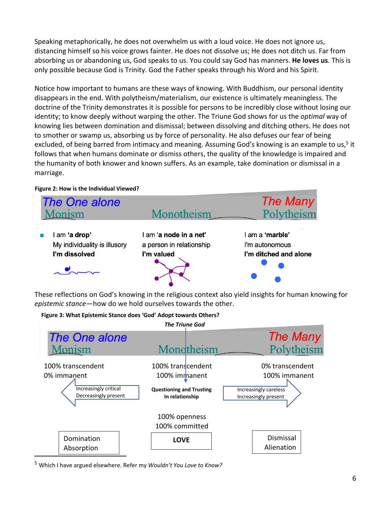Speaking metaphorically, he does not overwhelm us with a loud voice. He does not ignore us, distancing himself so his voice grows fainter. He does not dissolve us; He does not ditch us. Far from absorbing us or abandoning us, God speaks to us. You could say God has manners. **He loves us**. This is only possible because God is Trinity. God the Father speaks through his Word and his Spirit.

Notice how important to humans are these ways of knowing. With Buddhism, our personal identity disappears in the end. With polytheism/materialism, our existence is ultimately meaningless. The doctrine of the Trinity demonstrates it is possible for persons to be incredibly close without losing our identity; to know deeply without warping the other. The Triune God shows for us the *optimal* way of knowing lies between domination and dismissal; between dissolving and ditching others. He does not to smother or swamp us, absorbing us by force of personality. He also defuses our fear of being excluded, of being barred from intimacy and meaning. Assuming God's knowing is an example to us,<sup>5</sup> it follows that when humans dominate or dismiss others, the quality of the knowledge is impaired and the humanity of both knower and known suffers. As an example, take domination or dismissal in a marriage.

#### **Figure 2: How is the Individual Viewed?**



These reflections on God's knowing in the religious context also yield insights for human knowing for *epistemic stance*—how do we hold ourselves towards the other.

#### **Figure 3: What Epistemic Stance does 'God' Adopt towards Others?**



<sup>5</sup> Which I have argued elsewhere. Refer my *Wouldn't You Love to Know?*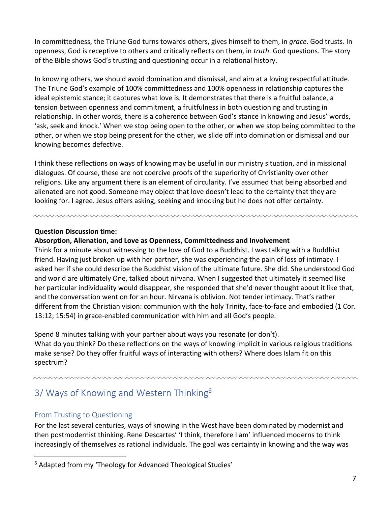In committedness, the Triune God turns towards others, gives himself to them, in *grace*. God trusts. In openness, God is receptive to others and critically reflects on them, in *truth*. God questions. The story of the Bible shows God's trusting and questioning occur in a relational history.

In knowing others, we should avoid domination and dismissal, and aim at a loving respectful attitude. The Triune God's example of 100% committedness and 100% openness in relationship captures the ideal epistemic stance; it captures what love is. It demonstrates that there is a fruitful balance, a tension between openness and commitment, a fruitfulness in both questioning and trusting in relationship. In other words, there is a coherence between God's stance in knowing and Jesus' words, 'ask, seek and knock.' When we stop being open to the other, or when we stop being committed to the other, or when we stop being present for the other, we slide off into domination or dismissal and our knowing becomes defective.

I think these reflections on ways of knowing may be useful in our ministry situation, and in missional dialogues. Of course, these are not coercive proofs of the superiority of Christianity over other religions. Like any argument there is an element of circularity. I've assumed that being absorbed and alienated are not good. Someone may object that love doesn't lead to the certainty that they are looking for. I agree. Jesus offers asking, seeking and knocking but he does not offer certainty.

#### **Question Discussion time:**

#### **Absorption, Alienation, and Love as Openness, Committedness and Involvement**

Think for a minute about witnessing to the love of God to a Buddhist. I was talking with a Buddhist friend. Having just broken up with her partner, she was experiencing the pain of loss of intimacy. I asked her if she could describe the Buddhist vision of the ultimate future. She did. She understood God and world are ultimately One, talked about nirvana. When I suggested that ultimately it seemed like her particular individuality would disappear, she responded that she'd never thought about it like that, and the conversation went on for an hour. Nirvana is oblivion. Not tender intimacy. That's rather different from the Christian vision: communion with the holy Trinity, face-to-face and embodied (1 Cor. 13:12; 15:54) in grace-enabled communication with him and all God's people.

Spend 8 minutes talking with your partner about ways you resonate (or don't). What do you think? Do these reflections on the ways of knowing implicit in various religious traditions make sense? Do they offer fruitful ways of interacting with others? Where does Islam fit on this spectrum?

# 3/ Ways of Knowing and Western Thinking<sup>6</sup>

## From Trusting to Questioning

For the last several centuries, ways of knowing in the West have been dominated by modernist and then postmodernist thinking. Rene Descartes' 'I think, therefore I am' influenced moderns to think increasingly of themselves as rational individuals. The goal was certainty in knowing and the way was

<sup>&</sup>lt;sup>6</sup> Adapted from my 'Theology for Advanced Theological Studies'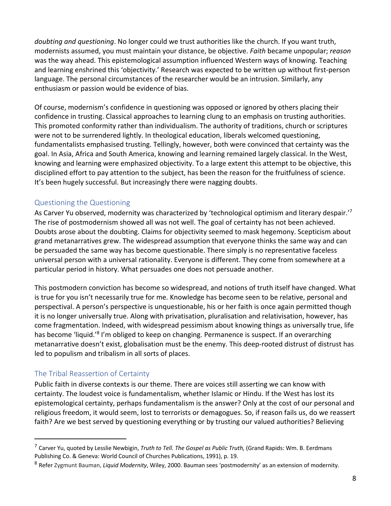*doubting and questioning*. No longer could we trust authorities like the church. If you want truth, modernists assumed, you must maintain your distance, be objective. *Faith* became unpopular; *reason* was the way ahead. This epistemological assumption influenced Western ways of knowing. Teaching and learning enshrined this 'objectivity.' Research was expected to be written up without first-person language. The personal circumstances of the researcher would be an intrusion. Similarly, any enthusiasm or passion would be evidence of bias.

Of course, modernism's confidence in questioning was opposed or ignored by others placing their confidence in trusting. Classical approaches to learning clung to an emphasis on trusting authorities. This promoted conformity rather than individualism. The authority of traditions, church or scriptures were not to be surrendered lightly. In theological education, liberals welcomed questioning, fundamentalists emphasised trusting. Tellingly, however, both were convinced that certainty was the goal. In Asia, Africa and South America, knowing and learning remained largely classical. In the West, knowing and learning were emphasized objectivity. To a large extent this attempt to be objective, this disciplined effort to pay attention to the subject, has been the reason for the fruitfulness of science. It's been hugely successful. But increasingly there were nagging doubts.

## Questioning the Questioning

As Carver Yu observed, modernity was characterized by 'technological optimism and literary despair.'<sup>7</sup> The rise of postmodernism showed all was not well. The goal of certainty has not been achieved. Doubts arose about the doubting. Claims for objectivity seemed to mask hegemony. Scepticism about grand metanarratives grew. The widespread assumption that everyone thinks the same way and can be persuaded the same way has become questionable. There simply is no representative faceless universal person with a universal rationality. Everyone is different. They come from somewhere at a particular period in history. What persuades one does not persuade another.

This postmodern conviction has become so widespread, and notions of truth itself have changed. What is true for you isn't necessarily true for me. Knowledge has become seen to be relative, personal and perspectival. A person's perspective is unquestionable, his or her faith is once again permitted though it is no longer universally true. Along with privatisation, pluralisation and relativisation, however, has come fragmentation. Indeed, with widespread pessimism about knowing things as universally true, life has become 'liquid.'<sup>8</sup> I'm obliged to keep on changing. Permanence is suspect. If an overarching metanarrative doesn't exist, globalisation must be the enemy. This deep-rooted distrust of distrust has led to populism and tribalism in all sorts of places.

## The Tribal Reassertion of Certainty

Public faith in diverse contexts is our theme. There are voices still asserting we can know with certainty. The loudest voice is fundamentalism, whether Islamic or Hindu. If the West has lost its epistemological certainty, perhaps fundamentalism is the answer? Only at the cost of our personal and religious freedom, it would seem, lost to terrorists or demagogues. So, if reason fails us, do we reassert faith? Are we best served by questioning everything or by trusting our valued authorities? Believing

<sup>7</sup> Carver Yu, quoted by Lesslie Newbigin, *Truth to Tell. The Gospel as Public Truth,* (Grand Rapids: Wm. B. Eerdmans Publishing Co. & Geneva: World Council of Churches Publications, 1991), p. 19.

<sup>8</sup> Refer Zygmunt Bauman, *Liquid Modernity*, Wiley, 2000. Bauman sees 'postmodernity' as an extension of modernity.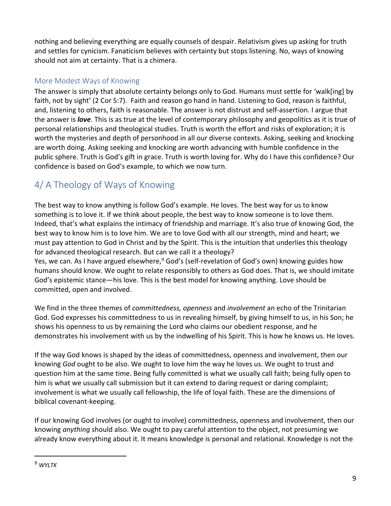nothing and believing everything are equally counsels of despair. Relativism gives up asking for truth and settles for cynicism. Fanaticism believes with certainty but stops listening. No, ways of knowing should not aim at certainty. That is a chimera.

## More Modest Ways of Knowing

The answer is simply that absolute certainty belongs only to God. Humans must settle for 'walk[ing] by faith, not by sight' (2 Cor 5:7). Faith and reason go hand in hand. Listening to God, reason is faithful, and, listening to others, faith is reasonable. The answer is not distrust and self-assertion. I argue that the answer is *love*. This is as true at the level of contemporary philosophy and geopolitics as it is true of personal relationships and theological studies. Truth is worth the effort and risks of exploration; it is worth the mysteries and depth of personhood in all our diverse contexts. Asking, seeking and knocking are worth doing. Asking seeking and knocking are worth advancing with humble confidence in the public sphere. Truth is God's gift in grace. Truth is worth loving for. Why do I have this confidence? Our confidence is based on God's example, to which we now turn.

# 4/ A Theology of Ways of Knowing

The best way to know anything is follow God's example. He loves. The best way for us to know something is to love it. If we think about people, the best way to know someone is to love them. Indeed, that's what explains the intimacy of friendship and marriage. It's also true of knowing God, the best way to know him is to love him. We are to love God with all our strength, mind and heart; we must pay attention to God in Christ and by the Spirit. This is the intuition that underlies this theology for advanced theological research. But can we call it a theology?

Yes, we can. As I have argued elsewhere,<sup>9</sup> God's (self-revelation of God's own) knowing guides how humans should know. We ought to relate responsibly to others as God does. That is, we should imitate God's epistemic stance—his love. This is the best model for knowing anything. Love should be committed, open and involved.

We find in the three themes of *committedness, openness* and *involvement* an echo of the Trinitarian God. God expresses his committedness to us in revealing himself, by giving himself to us, in his Son; he shows his openness to us by remaining the Lord who claims our obedient response, and he demonstrates his involvement with us by the indwelling of his Spirit. This is how he knows us. He loves.

If the way God knows is shaped by the ideas of committedness, openness and involvement, then our knowing *God* ought to be also. We ought to love him the way he loves us. We ought to trust and question him at the same time. Being fully committed is what we usually call faith; being fully open to him is what we usually call submission but it can extend to daring request or daring complaint; involvement is what we usually call fellowship, the life of loyal faith. These are the dimensions of biblical covenant-keeping.

If our knowing God involves (or ought to involve) committedness, openness and involvement, then our knowing *anything* should also. We ought to pay careful attention to the object, not presuming we already know everything about it. It means knowledge is personal and relational. Knowledge is not the

<sup>9</sup> *WYLTK*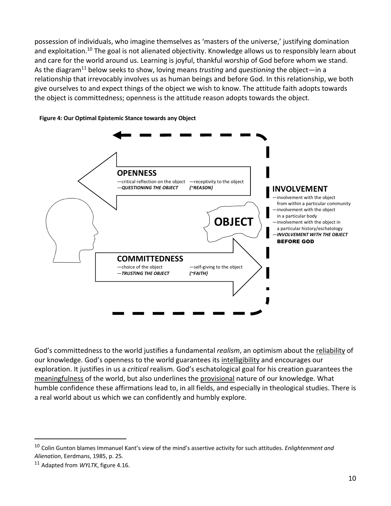possession of individuals, who imagine themselves as 'masters of the universe,' justifying domination and exploitation.<sup>10</sup> The goal is not alienated objectivity. Knowledge allows us to responsibly learn about and care for the world around us. Learning is joyful, thankful worship of God before whom we stand. As the diagram11 below seeks to show, loving means *trusting* and *questioning* the object—in a relationship that irrevocably involves us as human beings and before God. In this relationship, we both give ourselves to and expect things of the object we wish to know. The attitude faith adopts towards the object is committedness; openness is the attitude reason adopts towards the object.



#### **Figure 4: Our Optimal Epistemic Stance towards any Object**

God's committedness to the world justifies a fundamental *realism*, an optimism about the reliability of our knowledge. God's openness to the world guarantees its intelligibility and encourages our exploration. It justifies in us a *critical* realism. God's eschatological goal for his creation guarantees the meaningfulness of the world, but also underlines the provisional nature of our knowledge. What humble confidence these affirmations lead to, in all fields, and especially in theological studies. There is a real world about us which we can confidently and humbly explore.

<sup>10</sup> Colin Gunton blames Immanuel Kant's view of the mind's assertive activity for such attitudes. *Enlightenment and Alienation*, Eerdmans, 1985, p. 25*.*

<sup>11</sup> Adapted from *WYLTK*, figure 4.16.